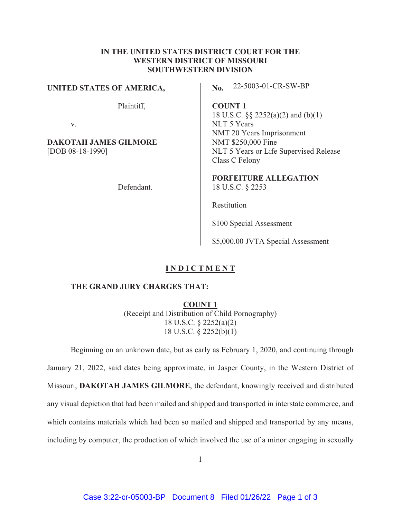# **IN THE UNITED STATES DISTRICT COURT FOR THE WESTERN DISTRICT OF MISSOURI SOUTHWESTERN DIVISION**

| UNITED STATES OF AMERICA,                           | 22-5003-01-CR-SW-BP<br>No.                                                                                   |
|-----------------------------------------------------|--------------------------------------------------------------------------------------------------------------|
| Plaintiff,<br>V.                                    | <b>COUNT1</b><br>18 U.S.C. $\S\S 2252(a)(2)$ and $(b)(1)$<br><b>NLT 5 Years</b><br>NMT 20 Years Imprisonment |
| <b>DAKOTAH JAMES GILMORE</b><br>[ $DOB$ 08-18-1990] | NMT \$250,000 Fine<br>NLT 5 Years or Life Supervised Release<br>Class C Felony                               |
| Defendant.                                          | <b>FORFEITURE ALLEGATION</b><br>18 U.S.C. § 2253                                                             |
|                                                     | Restitution                                                                                                  |
|                                                     | \$100 Special Assessment                                                                                     |
|                                                     | \$5,000.00 JVTA Special Assessment                                                                           |
|                                                     |                                                                                                              |

# **I N D I C T M E N T**

# **THE GRAND JURY CHARGES THAT:**

**COUNT 1**

(Receipt and Distribution of Child Pornography) 18 U.S.C. § 2252(a)(2) 18 U.S.C. § 2252(b)(1)

Beginning on an unknown date, but as early as February 1, 2020, and continuing through January 21, 2022, said dates being approximate, in Jasper County, in the Western District of Missouri, **DAKOTAH JAMES GILMORE**, the defendant, knowingly received and distributed any visual depiction that had been mailed and shipped and transported in interstate commerce, and which contains materials which had been so mailed and shipped and transported by any means, including by computer, the production of which involved the use of a minor engaging in sexually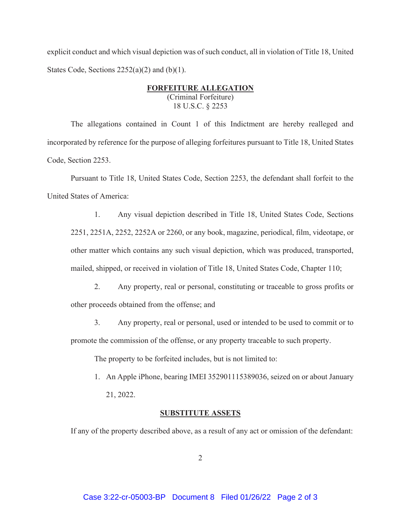explicit conduct and which visual depiction was of such conduct, all in violation of Title 18, United States Code, Sections  $2252(a)(2)$  and  $(b)(1)$ .

### **FORFEITURE ALLEGATION**

(Criminal Forfeiture) 18 U.S.C. § 2253

 The allegations contained in Count 1 of this Indictment are hereby realleged and incorporated by reference for the purpose of alleging forfeitures pursuant to Title 18, United States Code, Section 2253.

 Pursuant to Title 18, United States Code, Section 2253, the defendant shall forfeit to the United States of America:

1. Any visual depiction described in Title 18, United States Code, Sections 2251, 2251A, 2252, 2252A or 2260, or any book, magazine, periodical, film, videotape, or other matter which contains any such visual depiction, which was produced, transported, mailed, shipped, or received in violation of Title 18, United States Code, Chapter 110;

2. Any property, real or personal, constituting or traceable to gross profits or other proceeds obtained from the offense; and

3. Any property, real or personal, used or intended to be used to commit or to promote the commission of the offense, or any property traceable to such property.

The property to be forfeited includes, but is not limited to:

1. An Apple iPhone, bearing IMEI 352901115389036, seized on or about January 21, 2022.

#### **SUBSTITUTE ASSETS**

If any of the property described above, as a result of any act or omission of the defendant:

2